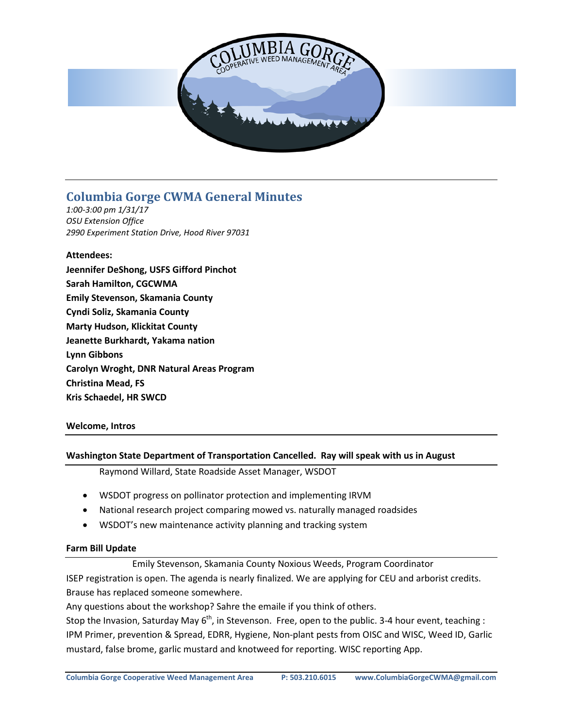

# **Columbia Gorge CWMA General Minutes**

*1:00-3:00 pm 1/31/17 OSU Extension Office 2990 Experiment Station Drive, Hood River 97031*

# **Attendees:**

**Jeennifer DeShong, USFS Gifford Pinchot Sarah Hamilton, CGCWMA Emily Stevenson, Skamania County Cyndi Soliz, Skamania County Marty Hudson, Klickitat County Jeanette Burkhardt, Yakama nation Lynn Gibbons Carolyn Wroght, DNR Natural Areas Program Christina Mead, FS Kris Schaedel, HR SWCD**

# **Welcome, Intros**

#### **Washington State Department of Transportation Cancelled. Ray will speak with us in August**

Raymond Willard, State Roadside Asset Manager, WSDOT

- WSDOT progress on pollinator protection and implementing IRVM
- National research project comparing mowed vs. naturally managed roadsides
- WSDOT's new maintenance activity planning and tracking system

#### **Farm Bill Update**

Emily Stevenson, Skamania County Noxious Weeds, Program Coordinator

ISEP registration is open. The agenda is nearly finalized. We are applying for CEU and arborist credits. Brause has replaced someone somewhere.

Any questions about the workshop? Sahre the emaile if you think of others.

Stop the Invasion, Saturday May  $6<sup>th</sup>$ , in Stevenson. Free, open to the public. 3-4 hour event, teaching : IPM Primer, prevention & Spread, EDRR, Hygiene, Non-plant pests from OISC and WISC, Weed ID, Garlic mustard, false brome, garlic mustard and knotweed for reporting. WISC reporting App.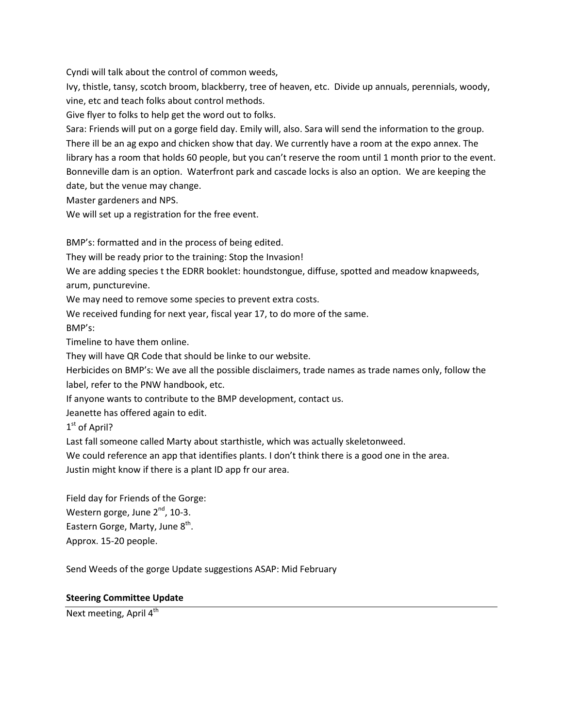Cyndi will talk about the control of common weeds,

Ivy, thistle, tansy, scotch broom, blackberry, tree of heaven, etc. Divide up annuals, perennials, woody, vine, etc and teach folks about control methods.

Give flyer to folks to help get the word out to folks.

Sara: Friends will put on a gorge field day. Emily will, also. Sara will send the information to the group. There ill be an ag expo and chicken show that day. We currently have a room at the expo annex. The library has a room that holds 60 people, but you can't reserve the room until 1 month prior to the event. Bonneville dam is an option. Waterfront park and cascade locks is also an option. We are keeping the date, but the venue may change.

Master gardeners and NPS.

We will set up a registration for the free event.

BMP's: formatted and in the process of being edited.

They will be ready prior to the training: Stop the Invasion!

We are adding species t the EDRR booklet: houndstongue, diffuse, spotted and meadow knapweeds, arum, puncturevine.

We may need to remove some species to prevent extra costs.

We received funding for next year, fiscal year 17, to do more of the same.

BMP's:

Timeline to have them online.

They will have QR Code that should be linke to our website.

Herbicides on BMP's: We ave all the possible disclaimers, trade names as trade names only, follow the label, refer to the PNW handbook, etc.

If anyone wants to contribute to the BMP development, contact us.

Jeanette has offered again to edit.

1<sup>st</sup> of April?

Last fall someone called Marty about starthistle, which was actually skeletonweed.

We could reference an app that identifies plants. I don't think there is a good one in the area.

Justin might know if there is a plant ID app fr our area.

Field day for Friends of the Gorge: Western gorge, June  $2<sup>nd</sup>$ , 10-3. Eastern Gorge, Marty, June 8<sup>th</sup>. Approx. 15-20 people.

Send Weeds of the gorge Update suggestions ASAP: Mid February

#### **Steering Committee Update**

Next meeting, April  $4<sup>th</sup>$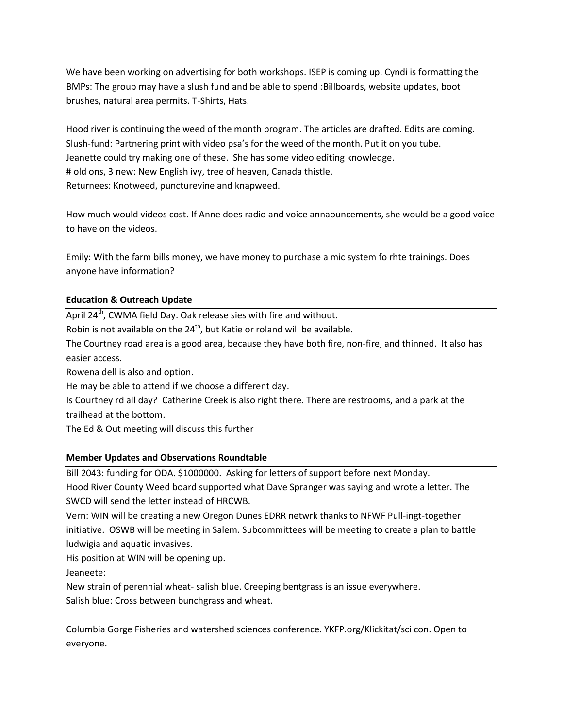We have been working on advertising for both workshops. ISEP is coming up. Cyndi is formatting the BMPs: The group may have a slush fund and be able to spend :Billboards, website updates, boot brushes, natural area permits. T-Shirts, Hats.

Hood river is continuing the weed of the month program. The articles are drafted. Edits are coming. Slush-fund: Partnering print with video psa's for the weed of the month. Put it on you tube. Jeanette could try making one of these. She has some video editing knowledge. # old ons, 3 new: New English ivy, tree of heaven, Canada thistle. Returnees: Knotweed, puncturevine and knapweed.

How much would videos cost. If Anne does radio and voice annaouncements, she would be a good voice to have on the videos.

Emily: With the farm bills money, we have money to purchase a mic system fo rhte trainings. Does anyone have information?

# **Education & Outreach Update**

April 24<sup>th</sup>, CWMA field Day. Oak release sies with fire and without.

Robin is not available on the 24<sup>th</sup>, but Katie or roland will be available.

The Courtney road area is a good area, because they have both fire, non-fire, and thinned. It also has easier access.

Rowena dell is also and option.

He may be able to attend if we choose a different day.

Is Courtney rd all day? Catherine Creek is also right there. There are restrooms, and a park at the trailhead at the bottom.

The Ed & Out meeting will discuss this further

# **Member Updates and Observations Roundtable**

Bill 2043: funding for ODA. \$1000000. Asking for letters of support before next Monday.

Hood River County Weed board supported what Dave Spranger was saying and wrote a letter. The SWCD will send the letter instead of HRCWB.

Vern: WIN will be creating a new Oregon Dunes EDRR netwrk thanks to NFWF Pull-ingt-together initiative. OSWB will be meeting in Salem. Subcommittees will be meeting to create a plan to battle ludwigia and aquatic invasives.

His position at WIN will be opening up.

Jeaneete:

New strain of perennial wheat- salish blue. Creeping bentgrass is an issue everywhere. Salish blue: Cross between bunchgrass and wheat.

Columbia Gorge Fisheries and watershed sciences conference. YKFP.org/Klickitat/sci con. Open to everyone.